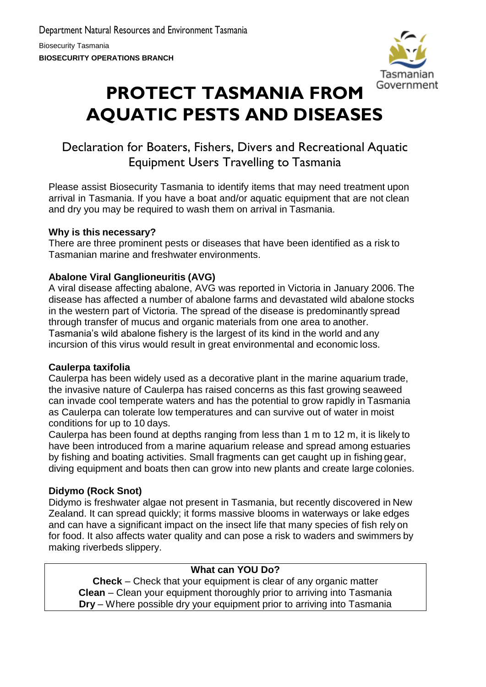

# **PROTECT TASMANIA FROM AQUATIC PESTS AND DISEASES**

## Declaration for Boaters, Fishers, Divers and Recreational Aquatic Equipment Users Travelling to Tasmania

Please assist Biosecurity Tasmania to identify items that may need treatment upon arrival in Tasmania. If you have a boat and/or aquatic equipment that are not clean and dry you may be required to wash them on arrival in Tasmania.

## **Why is this necessary?**

There are three prominent pests or diseases that have been identified as a risk to Tasmanian marine and freshwater environments.

## **Abalone Viral Ganglioneuritis (AVG)**

A viral disease affecting abalone, AVG was reported in Victoria in January 2006. The disease has affected a number of abalone farms and devastated wild abalone stocks in the western part of Victoria. The spread of the disease is predominantly spread through transfer of mucus and organic materials from one area to another. Tasmania's wild abalone fishery is the largest of its kind in the world and any incursion of this virus would result in great environmental and economic loss.

## **Caulerpa taxifolia**

Caulerpa has been widely used as a decorative plant in the marine aquarium trade, the invasive nature of Caulerpa has raised concerns as this fast growing seaweed can invade cool temperate waters and has the potential to grow rapidly in Tasmania as Caulerpa can tolerate low temperatures and can survive out of water in moist conditions for up to 10 days.

Caulerpa has been found at depths ranging from less than 1 m to 12 m, it is likely to have been introduced from a marine aquarium release and spread among estuaries by fishing and boating activities. Small fragments can get caught up in fishing gear, diving equipment and boats then can grow into new plants and create large colonies.

## **Didymo (Rock Snot)**

Didymo is freshwater algae not present in Tasmania, but recently discovered in New Zealand. It can spread quickly; it forms massive blooms in waterways or lake edges and can have a significant impact on the insect life that many species of fish rely on for food. It also affects water quality and can pose a risk to waders and swimmers by making riverbeds slippery.

## **What can YOU Do?**

**Check** – Check that your equipment is clear of any organic matter **Clean** – Clean your equipment thoroughly prior to arriving into Tasmania **Dry** – Where possible dry your equipment prior to arriving into Tasmania